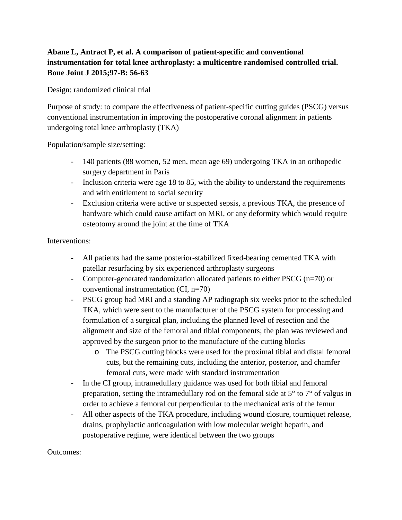## **Abane L, Antract P, et al. A comparison of patient-specific and conventional instrumentation for total knee arthroplasty: a multicentre randomised controlled trial. Bone Joint J 2015;97-B: 56-63**

Design: randomized clinical trial

Purpose of study: to compare the effectiveness of patient-specific cutting guides (PSCG) versus conventional instrumentation in improving the postoperative coronal alignment in patients undergoing total knee arthroplasty (TKA)

Population/sample size/setting:

- 140 patients (88 women, 52 men, mean age 69) undergoing TKA in an orthopedic surgery department in Paris
- Inclusion criteria were age 18 to 85, with the ability to understand the requirements and with entitlement to social security
- Exclusion criteria were active or suspected sepsis, a previous TKA, the presence of hardware which could cause artifact on MRI, or any deformity which would require osteotomy around the joint at the time of TKA

Interventions:

- All patients had the same posterior-stabilized fixed-bearing cemented TKA with patellar resurfacing by six experienced arthroplasty surgeons
- Computer-generated randomization allocated patients to either PSCG (n=70) or conventional instrumentation (CI, n=70)
- PSCG group had MRI and a standing AP radiograph six weeks prior to the scheduled TKA, which were sent to the manufacturer of the PSCG system for processing and formulation of a surgical plan, including the planned level of resection and the alignment and size of the femoral and tibial components; the plan was reviewed and approved by the surgeon prior to the manufacture of the cutting blocks
	- o The PSCG cutting blocks were used for the proximal tibial and distal femoral cuts, but the remaining cuts, including the anterior, posterior, and chamfer femoral cuts, were made with standard instrumentation
- In the CI group, intramedullary guidance was used for both tibial and femoral preparation, setting the intramedullary rod on the femoral side at 5° to 7° of valgus in order to achieve a femoral cut perpendicular to the mechanical axis of the femur
- All other aspects of the TKA procedure, including wound closure, tourniquet release, drains, prophylactic anticoagulation with low molecular weight heparin, and postoperative regime, were identical between the two groups

Outcomes: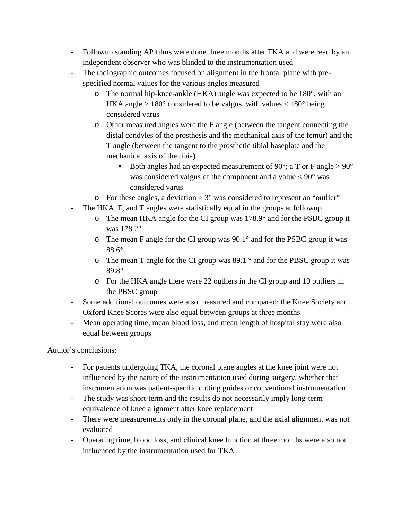- Followup standing AP films were done three months after TKA and were read by an independent observer who was blinded to the instrumentation used
- The radiographic outcomes focused on alignment in the frontal plane with prespecified normal values for the various angles measured
	- o The normal hip-knee-ankle (HKA) angle was expected to be 180°, with an HKA angle  $> 180^\circ$  considered to be valgus, with values  $< 180^\circ$  being considered varus
	- o Other measured angles were the F angle (between the tangent connecting the distal condyles of the prosthesis and the mechanical axis of the femur) and the T angle (between the tangent to the prosthetic tibial baseplate and the mechanical axis of the tibia)
		- Both angles had an expected measurement of 90 $^{\circ}$ ; a T or F angle  $> 90^{\circ}$ was considered valgus of the component and a value  $\langle 90^\circ$  was considered varus
	- $\circ$  For these angles, a deviation  $> 3^{\circ}$  was considered to represent an "outlier"
- The HKA, F, and T angles were statistically equal in the groups at followup
	- o The mean HKA angle for the CI group was 178.9° and for the PSBC group it was 178.2°
	- $\circ$  The mean F angle for the CI group was 90.1 $\degree$  and for the PSBC group it was 88.6°
	- $\circ$  The mean T angle for the CI group was 89.1  $\circ$  and for the PBSC group it was 89.8°
	- o For the HKA angle there were 22 outliers in the CI group and 19 outliers in the PBSC group
- Some additional outcomes were also measured and compared; the Knee Society and Oxford Knee Scores were also equal between groups at three months
- Mean operating time, mean blood loss, and mean length of hospital stay were also equal between groups

Author's conclusions:

- For patients undergoing TKA, the coronal plane angles at the knee joint were not influenced by the nature of the instrumentation used during surgery, whether that instrumentation was patient-specific cutting guides or conventional instrumentation
- The study was short-term and the results do not necessarily imply long-term equivalence of knee alignment after knee replacement
- There were measurements only in the coronal plane, and the axial alignment was not evaluated
- Operating time, blood loss, and clinical knee function at three months were also not influenced by the instrumentation used for TKA